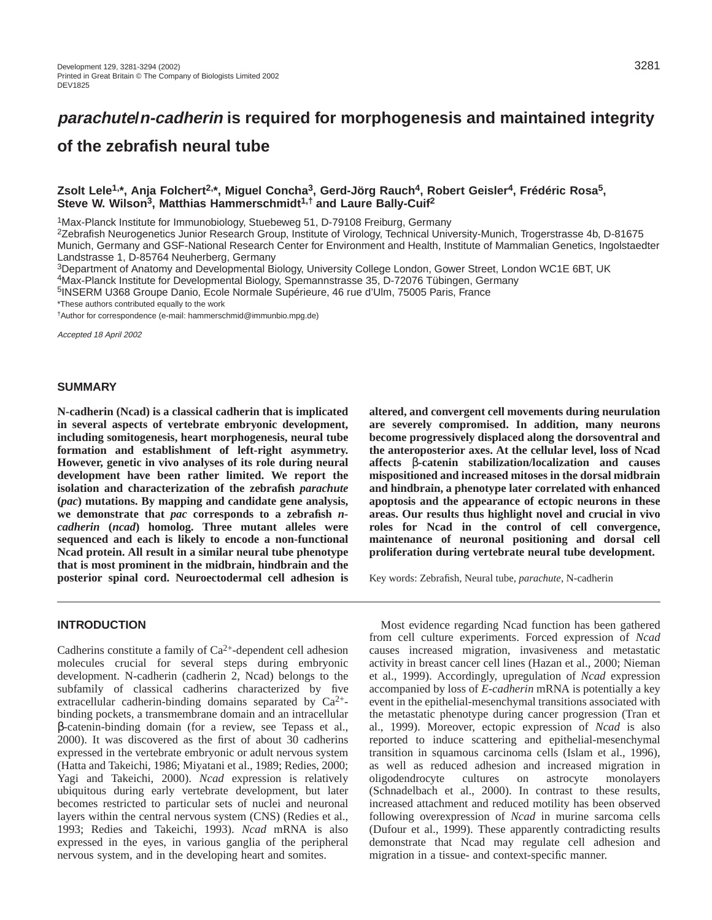# **of the zebrafish neural tube**

### **Zsolt Lele1,\*, Anja Folchert2,\*, Miguel Concha3, Gerd-Jörg Rauch4, Robert Geisler4, Frédéric Rosa5, Steve W. Wilson3, Matthias Hammerschmidt1,† and Laure Bally-Cuif2**

1Max-Planck Institute for Immunobiology, Stuebeweg 51, D-79108 Freiburg, Germany

2Zebrafish Neurogenetics Junior Research Group, Institute of Virology, Technical University-Munich, Trogerstrasse 4b, D-81675 Munich, Germany and GSF-National Research Center for Environment and Health, Institute of Mammalian Genetics, Ingolstaedter Landstrasse 1, D-85764 Neuherberg, Germany

3Department of Anatomy and Developmental Biology, University College London, Gower Street, London WC1E 6BT, UK

4Max-Planck Institute for Developmental Biology, Spemannstrasse 35, D-72076 Tübingen, Germany

5INSERM U368 Groupe Danio, Ecole Normale Supérieure, 46 rue d'Ulm, 75005 Paris, France

\*These authors contributed equally to the work

†Author for correspondence (e-mail: hammerschmid@immunbio.mpg.de)

Accepted 18 April 2002

### **SUMMARY**

**N-cadherin (Ncad) is a classical cadherin that is implicated in several aspects of vertebrate embryonic development, including somitogenesis, heart morphogenesis, neural tube formation and establishment of left-right asymmetry. However, genetic in vivo analyses of its role during neural development have been rather limited. We report the isolation and characterization of the zebrafish** *parachute* **(***pac***) mutations. By mapping and candidate gene analysis, we demonstrate that** *pac* **corresponds to a zebrafish** *ncadherin* **(***ncad***) homolog. Three mutant alleles were sequenced and each is likely to encode a non-functional Ncad protein. All result in a similar neural tube phenotype that is most prominent in the midbrain, hindbrain and the posterior spinal cord. Neuroectodermal cell adhesion is**

**altered, and convergent cell movements during neurulation are severely compromised. In addition, many neurons become progressively displaced along the dorsoventral and the anteroposterior axes. At the cellular level, loss of Ncad affects** β**-catenin stabilization/localization and causes mispositioned and increased mitoses in the dorsal midbrain and hindbrain, a phenotype later correlated with enhanced apoptosis and the appearance of ectopic neurons in these areas. Our results thus highlight novel and crucial in vivo roles for Ncad in the control of cell convergence, maintenance of neuronal positioning and dorsal cell proliferation during vertebrate neural tube development.**

Key words: Zebrafish, Neural tube, *parachute*, N-cadherin

### **INTRODUCTION**

Cadherins constitute a family of  $Ca^{2+}$ -dependent cell adhesion molecules crucial for several steps during embryonic development. N-cadherin (cadherin 2, Ncad) belongs to the subfamily of classical cadherins characterized by five extracellular cadherin-binding domains separated by  $Ca^{2+}$ binding pockets, a transmembrane domain and an intracellular β-catenin-binding domain (for a review, see Tepass et al., 2000). It was discovered as the first of about 30 cadherins expressed in the vertebrate embryonic or adult nervous system (Hatta and Takeichi, 1986; Miyatani et al., 1989; Redies, 2000; Yagi and Takeichi, 2000). *Ncad* expression is relatively ubiquitous during early vertebrate development, but later becomes restricted to particular sets of nuclei and neuronal layers within the central nervous system (CNS) (Redies et al., 1993; Redies and Takeichi, 1993). *Ncad* mRNA is also expressed in the eyes, in various ganglia of the peripheral nervous system, and in the developing heart and somites.

Most evidence regarding Ncad function has been gathered from cell culture experiments. Forced expression of *Ncad* causes increased migration, invasiveness and metastatic activity in breast cancer cell lines (Hazan et al., 2000; Nieman et al., 1999). Accordingly, upregulation of *Ncad* expression accompanied by loss of *E-cadherin* mRNA is potentially a key event in the epithelial-mesenchymal transitions associated with the metastatic phenotype during cancer progression (Tran et al., 1999). Moreover, ectopic expression of *Ncad* is also reported to induce scattering and epithelial-mesenchymal transition in squamous carcinoma cells (Islam et al., 1996), as well as reduced adhesion and increased migration in oligodendrocyte cultures on astrocyte monolayers (Schnadelbach et al., 2000). In contrast to these results, increased attachment and reduced motility has been observed following overexpression of *Ncad* in murine sarcoma cells (Dufour et al., 1999). These apparently contradicting results demonstrate that Ncad may regulate cell adhesion and migration in a tissue- and context-specific manner.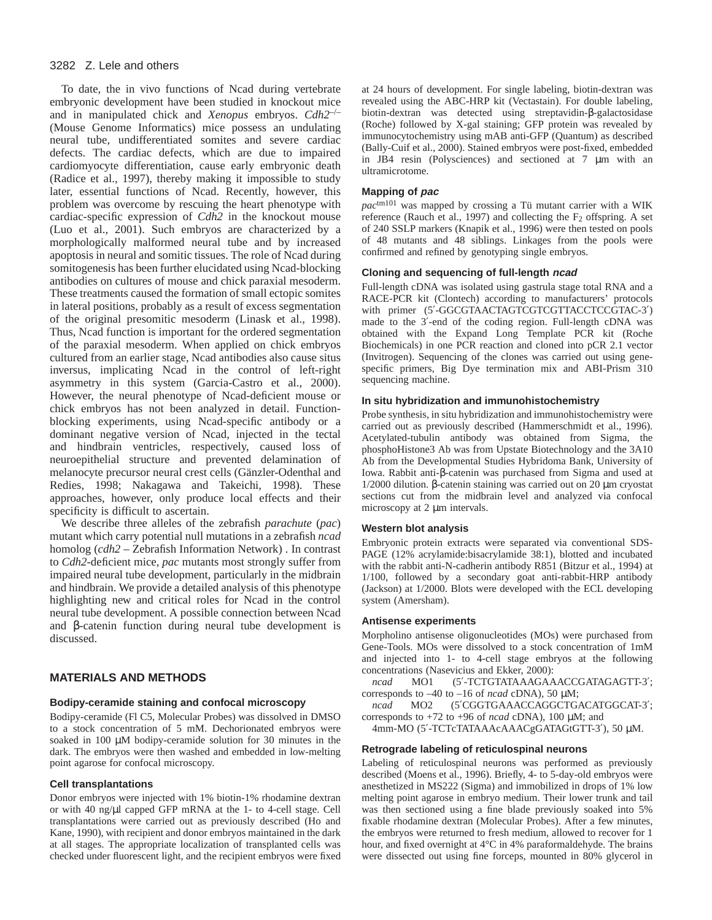To date, the in vivo functions of Ncad during vertebrate embryonic development have been studied in knockout mice and in manipulated chick and *Xenopus* embryos. *Cdh2*–/– (Mouse Genome Informatics) mice possess an undulating neural tube, undifferentiated somites and severe cardiac defects. The cardiac defects, which are due to impaired cardiomyocyte differentiation, cause early embryonic death (Radice et al., 1997), thereby making it impossible to study later, essential functions of Ncad. Recently, however, this problem was overcome by rescuing the heart phenotype with cardiac-specific expression of *Cdh2* in the knockout mouse (Luo et al., 2001). Such embryos are characterized by a morphologically malformed neural tube and by increased apoptosis in neural and somitic tissues. The role of Ncad during somitogenesis has been further elucidated using Ncad-blocking antibodies on cultures of mouse and chick paraxial mesoderm. These treatments caused the formation of small ectopic somites in lateral positions, probably as a result of excess segmentation of the original presomitic mesoderm (Linask et al., 1998). Thus, Ncad function is important for the ordered segmentation of the paraxial mesoderm. When applied on chick embryos cultured from an earlier stage, Ncad antibodies also cause situs inversus, implicating Ncad in the control of left-right asymmetry in this system (Garcia-Castro et al., 2000). However, the neural phenotype of Ncad-deficient mouse or chick embryos has not been analyzed in detail. Functionblocking experiments, using Ncad-specific antibody or a dominant negative version of Ncad, injected in the tectal and hindbrain ventricles, respectively, caused loss of neuroepithelial structure and prevented delamination of melanocyte precursor neural crest cells (Gänzler-Odenthal and Redies, 1998; Nakagawa and Takeichi, 1998). These approaches, however, only produce local effects and their specificity is difficult to ascertain.

We describe three alleles of the zebrafish *parachute* (*pac*) mutant which carry potential null mutations in a zebrafish *ncad* homolog (*cdh2* – Zebrafish Information Network) . In contrast to *Cdh2*-deficient mice, *pac* mutants most strongly suffer from impaired neural tube development, particularly in the midbrain and hindbrain. We provide a detailed analysis of this phenotype highlighting new and critical roles for Ncad in the control neural tube development. A possible connection between Ncad and β-catenin function during neural tube development is discussed.

### **MATERIALS AND METHODS**

#### **Bodipy-ceramide staining and confocal microscopy**

Bodipy-ceramide (Fl C5, Molecular Probes) was dissolved in DMSO to a stock concentration of 5 mM. Dechorionated embryos were soaked in 100 µM bodipy-ceramide solution for 30 minutes in the dark. The embryos were then washed and embedded in low-melting point agarose for confocal microscopy.

#### **Cell transplantations**

Donor embryos were injected with 1% biotin-1% rhodamine dextran or with 40 ng/µl capped GFP mRNA at the 1- to 4-cell stage. Cell transplantations were carried out as previously described (Ho and Kane, 1990), with recipient and donor embryos maintained in the dark at all stages. The appropriate localization of transplanted cells was checked under fluorescent light, and the recipient embryos were fixed at 24 hours of development. For single labeling, biotin-dextran was revealed using the ABC-HRP kit (Vectastain). For double labeling, biotin-dextran was detected using streptavidin-β-galactosidase (Roche) followed by X-gal staining; GFP protein was revealed by immunocytochemistry using mAB anti-GFP (Quantum) as described (Bally-Cuif et al., 2000). Stained embryos were post-fixed, embedded in JB4 resin (Polysciences) and sectioned at 7 µm with an ultramicrotome.

#### **Mapping of pac**

*pac*tm101 was mapped by crossing a Tü mutant carrier with a WIK reference (Rauch et al., 1997) and collecting the  $F_2$  offspring. A set of 240 SSLP markers (Knapik et al., 1996) were then tested on pools of 48 mutants and 48 siblings. Linkages from the pools were confirmed and refined by genotyping single embryos.

#### **Cloning and sequencing of full-length ncad**

Full-length cDNA was isolated using gastrula stage total RNA and a RACE-PCR kit (Clontech) according to manufacturers' protocols with primer (5'-GGCGTAACTAGTCGTCGTTACCTCCGTAC-3') made to the 3′-end of the coding region. Full-length cDNA was obtained with the Expand Long Template PCR kit (Roche Biochemicals) in one PCR reaction and cloned into pCR 2.1 vector (Invitrogen). Sequencing of the clones was carried out using genespecific primers, Big Dye termination mix and ABI-Prism 310 sequencing machine.

#### **In situ hybridization and immunohistochemistry**

Probe synthesis, in situ hybridization and immunohistochemistry were carried out as previously described (Hammerschmidt et al., 1996). Acetylated-tubulin antibody was obtained from Sigma, the phosphoHistone3 Ab was from Upstate Biotechnology and the 3A10 Ab from the Developmental Studies Hybridoma Bank, University of Iowa. Rabbit anti-β-catenin was purchased from Sigma and used at 1/2000 dilution. β-catenin staining was carried out on 20 µm cryostat sections cut from the midbrain level and analyzed via confocal microscopy at 2  $\mu$ m intervals.

#### **Western blot analysis**

Embryonic protein extracts were separated via conventional SDS-PAGE (12% acrylamide:bisacrylamide 38:1), blotted and incubated with the rabbit anti-N-cadherin antibody R851 (Bitzur et al., 1994) at 1/100, followed by a secondary goat anti-rabbit-HRP antibody (Jackson) at 1/2000. Blots were developed with the ECL developing system (Amersham).

#### **Antisense experiments**

Morpholino antisense oligonucleotides (MOs) were purchased from Gene-Tools. MOs were dissolved to a stock concentration of 1mM and injected into 1- to 4-cell stage embryos at the following concentrations (Nasevicius and Ekker, 2000):

*ncad* MO1 (5′-TCTGTATAAAGAAACCGATAGAGTT-3′; corresponds to –40 to –16 of *ncad* cDNA), 50 µM;

*ncad* MO2 (5′CGGTGAAACCAGGCTGACATGGCAT-3′; corresponds to +72 to +96 of *ncad* cDNA), 100 µM; and

4mm-MO (5′-TCTcTATAAAcAAACgGATAGtGTT-3′), 50 µM.

#### **Retrograde labeling of reticulospinal neurons**

Labeling of reticulospinal neurons was performed as previously described (Moens et al., 1996). Briefly, 4- to 5-day-old embryos were anesthetized in MS222 (Sigma) and immobilized in drops of 1% low melting point agarose in embryo medium. Their lower trunk and tail was then sectioned using a fine blade previously soaked into 5% fixable rhodamine dextran (Molecular Probes). After a few minutes, the embryos were returned to fresh medium, allowed to recover for 1 hour, and fixed overnight at 4°C in 4% paraformaldehyde. The brains were dissected out using fine forceps, mounted in 80% glycerol in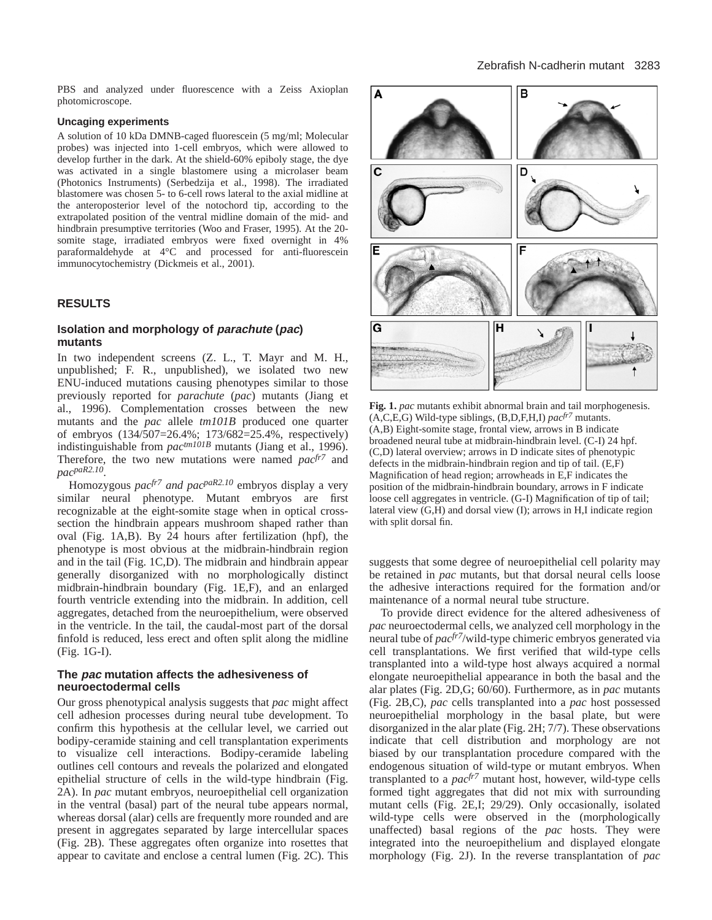PBS and analyzed under fluorescence with a Zeiss Axioplan photomicroscope.

#### **Uncaging experiments**

A solution of 10 kDa DMNB-caged fluorescein (5 mg/ml; Molecular probes) was injected into 1-cell embryos, which were allowed to develop further in the dark. At the shield-60% epiboly stage, the dye was activated in a single blastomere using a microlaser beam (Photonics Instruments) (Serbedzija et al., 1998). The irradiated blastomere was chosen 5- to 6-cell rows lateral to the axial midline at the anteroposterior level of the notochord tip, according to the extrapolated position of the ventral midline domain of the mid- and hindbrain presumptive territories (Woo and Fraser, 1995). At the 20 somite stage, irradiated embryos were fixed overnight in 4% paraformaldehyde at 4°C and processed for anti-fluorescein immunocytochemistry (Dickmeis et al., 2001).

#### **RESULTS**

#### **Isolation and morphology of parachute (pac) mutants**

In two independent screens (Z. L., T. Mayr and M. H., unpublished; F. R., unpublished), we isolated two new ENU-induced mutations causing phenotypes similar to those previously reported for *parachute* (*pac*) mutants (Jiang et al., 1996). Complementation crosses between the new mutants and the *pac* allele *tm101B* produced one quarter of embryos (134/507=26.4%; 173/682=25.4%, respectively) indistinguishable from *pactm101B* mutants (Jiang et al., 1996). Therefore, the two new mutations were named *pacfr7* and *pacpaR2.10*.

Homozygous *pacfr7 and pacpaR2.10* embryos display a very similar neural phenotype. Mutant embryos are first recognizable at the eight-somite stage when in optical crosssection the hindbrain appears mushroom shaped rather than oval (Fig. 1A,B). By 24 hours after fertilization (hpf), the phenotype is most obvious at the midbrain-hindbrain region and in the tail (Fig. 1C,D). The midbrain and hindbrain appear generally disorganized with no morphologically distinct midbrain-hindbrain boundary (Fig. 1E,F), and an enlarged fourth ventricle extending into the midbrain. In addition, cell aggregates, detached from the neuroepithelium, were observed in the ventricle. In the tail, the caudal-most part of the dorsal finfold is reduced, less erect and often split along the midline (Fig. 1G-I).

#### **The pac mutation affects the adhesiveness of neuroectodermal cells**

Our gross phenotypical analysis suggests that *pac* might affect cell adhesion processes during neural tube development. To confirm this hypothesis at the cellular level, we carried out bodipy-ceramide staining and cell transplantation experiments to visualize cell interactions. Bodipy-ceramide labeling outlines cell contours and reveals the polarized and elongated epithelial structure of cells in the wild-type hindbrain (Fig. 2A). In *pac* mutant embryos, neuroepithelial cell organization in the ventral (basal) part of the neural tube appears normal, whereas dorsal (alar) cells are frequently more rounded and are present in aggregates separated by large intercellular spaces (Fig. 2B). These aggregates often organize into rosettes that appear to cavitate and enclose a central lumen (Fig. 2C). This



**Fig. 1.** *pac* mutants exhibit abnormal brain and tail morphogenesis. (A,C,E,G) Wild-type siblings, (B,D,F,H,I) *pacfr7* mutants. (A,B) Eight-somite stage, frontal view, arrows in B indicate broadened neural tube at midbrain-hindbrain level. (C-I) 24 hpf. (C,D) lateral overview; arrows in D indicate sites of phenotypic defects in the midbrain-hindbrain region and tip of tail. (E,F) Magnification of head region; arrowheads in E,F indicates the position of the midbrain-hindbrain boundary, arrows in F indicate loose cell aggregates in ventricle. (G-I) Magnification of tip of tail; lateral view (G,H) and dorsal view (I); arrows in H,I indicate region with split dorsal fin.

suggests that some degree of neuroepithelial cell polarity may be retained in *pac* mutants, but that dorsal neural cells loose the adhesive interactions required for the formation and/or maintenance of a normal neural tube structure.

To provide direct evidence for the altered adhesiveness of *pac* neuroectodermal cells, we analyzed cell morphology in the neural tube of *pacfr7*/wild-type chimeric embryos generated via cell transplantations. We first verified that wild-type cells transplanted into a wild-type host always acquired a normal elongate neuroepithelial appearance in both the basal and the alar plates (Fig. 2D,G; 60/60). Furthermore, as in *pac* mutants (Fig. 2B,C), *pac* cells transplanted into a *pac* host possessed neuroepithelial morphology in the basal plate, but were disorganized in the alar plate (Fig. 2H; 7/7). These observations indicate that cell distribution and morphology are not biased by our transplantation procedure compared with the endogenous situation of wild-type or mutant embryos. When transplanted to a *pacfr7* mutant host, however, wild-type cells formed tight aggregates that did not mix with surrounding mutant cells (Fig. 2E,I; 29/29). Only occasionally, isolated wild-type cells were observed in the (morphologically unaffected) basal regions of the *pac* hosts. They were integrated into the neuroepithelium and displayed elongate morphology (Fig. 2J). In the reverse transplantation of *pac*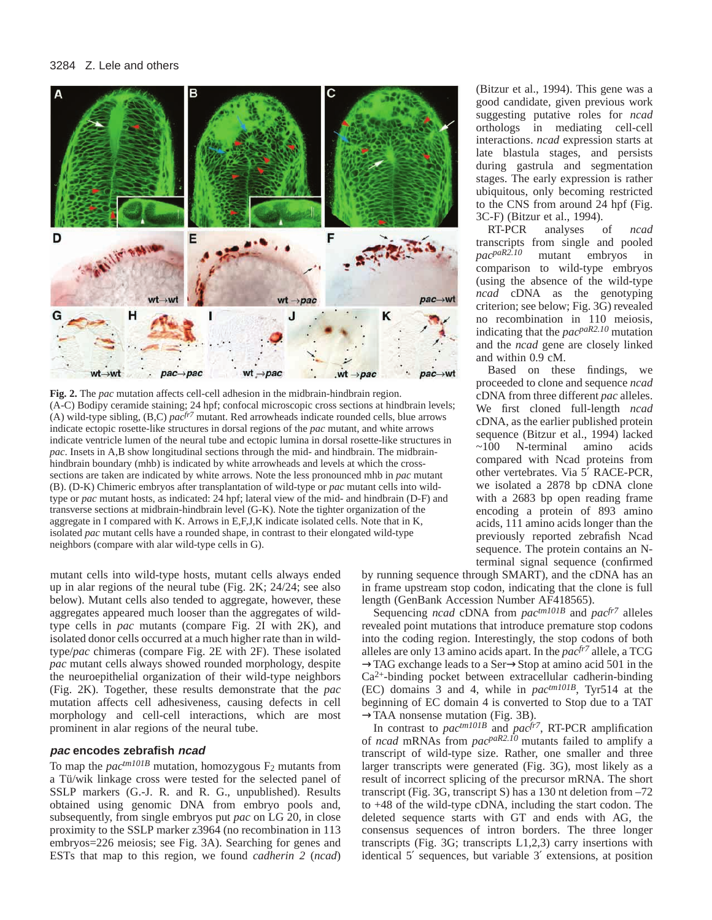

**Fig. 2.** The *pac* mutation affects cell-cell adhesion in the midbrain-hindbrain region. (A-C) Bodipy ceramide staining; 24 hpf; confocal microscopic cross sections at hindbrain levels; (A) wild-type sibling, (B,C) *pacfr7* mutant. Red arrowheads indicate rounded cells, blue arrows indicate ectopic rosette-like structures in dorsal regions of the *pac* mutant, and white arrows indicate ventricle lumen of the neural tube and ectopic lumina in dorsal rosette-like structures in *pac*. Insets in A,B show longitudinal sections through the mid- and hindbrain. The midbrainhindbrain boundary (mhb) is indicated by white arrowheads and levels at which the crosssections are taken are indicated by white arrows. Note the less pronounced mhb in *pac* mutant (B). (D-K) Chimeric embryos after transplantation of wild-type or *pac* mutant cells into wildtype or *pac* mutant hosts, as indicated: 24 hpf; lateral view of the mid- and hindbrain (D-F) and transverse sections at midbrain-hindbrain level (G-K). Note the tighter organization of the aggregate in I compared with K. Arrows in E,F,J,K indicate isolated cells. Note that in K, isolated *pac* mutant cells have a rounded shape, in contrast to their elongated wild-type neighbors (compare with alar wild-type cells in G).

mutant cells into wild-type hosts, mutant cells always ended up in alar regions of the neural tube (Fig. 2K; 24/24; see also below). Mutant cells also tended to aggregate, however, these aggregates appeared much looser than the aggregates of wildtype cells in *pac* mutants (compare Fig. 2I with 2K), and isolated donor cells occurred at a much higher rate than in wildtype/*pac* chimeras (compare Fig. 2E with 2F). These isolated *pac* mutant cells always showed rounded morphology, despite the neuroepithelial organization of their wild-type neighbors (Fig. 2K). Together, these results demonstrate that the *pac* mutation affects cell adhesiveness, causing defects in cell morphology and cell-cell interactions, which are most prominent in alar regions of the neural tube.

#### **pac encodes zebrafish ncad**

To map the  $pac<sup>tm101B</sup>$  mutation, homozygous  $F_2$  mutants from a Tü/wik linkage cross were tested for the selected panel of SSLP markers (G.-J. R. and R. G., unpublished). Results obtained using genomic DNA from embryo pools and, subsequently, from single embryos put *pac* on LG 20, in close proximity to the SSLP marker z3964 (no recombination in 113 embryos=226 meiosis; see Fig. 3A). Searching for genes and ESTs that map to this region, we found *cadherin 2* (*ncad*)

(Bitzur et al., 1994). This gene was a good candidate, given previous work suggesting putative roles for *ncad* orthologs in mediating cell-cell interactions. *ncad* expression starts at late blastula stages, and persists during gastrula and segmentation stages. The early expression is rather ubiquitous, only becoming restricted to the CNS from around 24 hpf (Fig. 3C-F) (Bitzur et al., 1994).

RT-PCR analyses of *ncad* transcripts from single and pooled  $nac^{paR2.10}$  mutant embryos in mutant embryos in comparison to wild-type embryos (using the absence of the wild-type *ncad* cDNA as the genotyping criterion; see below; Fig. 3G) revealed no recombination in 110 meiosis, indicating that the *pacpaR2.10* mutation and the *ncad* gene are closely linked and within 0.9 cM.

Based on these findings, we proceeded to clone and sequence *ncad* cDNA from three different *pac* alleles. We first cloned full-length *ncad* cDNA, as the earlier published protein sequence (Bitzur et al., 1994) lacked ~100 N-terminal amino acids compared with Ncad proteins from other vertebrates. Via 5′ RACE-PCR, we isolated a 2878 bp cDNA clone with a 2683 bp open reading frame encoding a protein of 893 amino acids, 111 amino acids longer than the previously reported zebrafish Ncad sequence. The protein contains an Nterminal signal sequence (confirmed

by running sequence through SMART), and the cDNA has an in frame upstream stop codon, indicating that the clone is full length (GenBank Accession Number AF418565).

Sequencing *ncad* cDNA from *pactm101B* and *pacfr7* alleles revealed point mutations that introduce premature stop codons into the coding region. Interestingly, the stop codons of both alleles are only 13 amino acids apart. In the *pacfr7* allele, a TCG →TAG exchange leads to a Ser→Stop at amino acid 501 in the  $Ca<sup>2+</sup>$ -binding pocket between extracellular cadherin-binding (EC) domains 3 and 4, while in *pactm101B*, Tyr514 at the beginning of EC domain 4 is converted to Stop due to a TAT  $\rightarrow$ TAA nonsense mutation (Fig. 3B).

In contrast to *pactm101B* and *pacfr7*, RT-PCR amplification of *ncad* mRNAs from *pacpaR2.10* mutants failed to amplify a transcript of wild-type size. Rather, one smaller and three larger transcripts were generated (Fig. 3G), most likely as a result of incorrect splicing of the precursor mRNA. The short transcript (Fig. 3G, transcript S) has a 130 nt deletion from –72 to +48 of the wild-type cDNA, including the start codon. The deleted sequence starts with GT and ends with AG, the consensus sequences of intron borders. The three longer transcripts (Fig. 3G; transcripts L1,2,3) carry insertions with identical 5′ sequences, but variable 3′ extensions, at position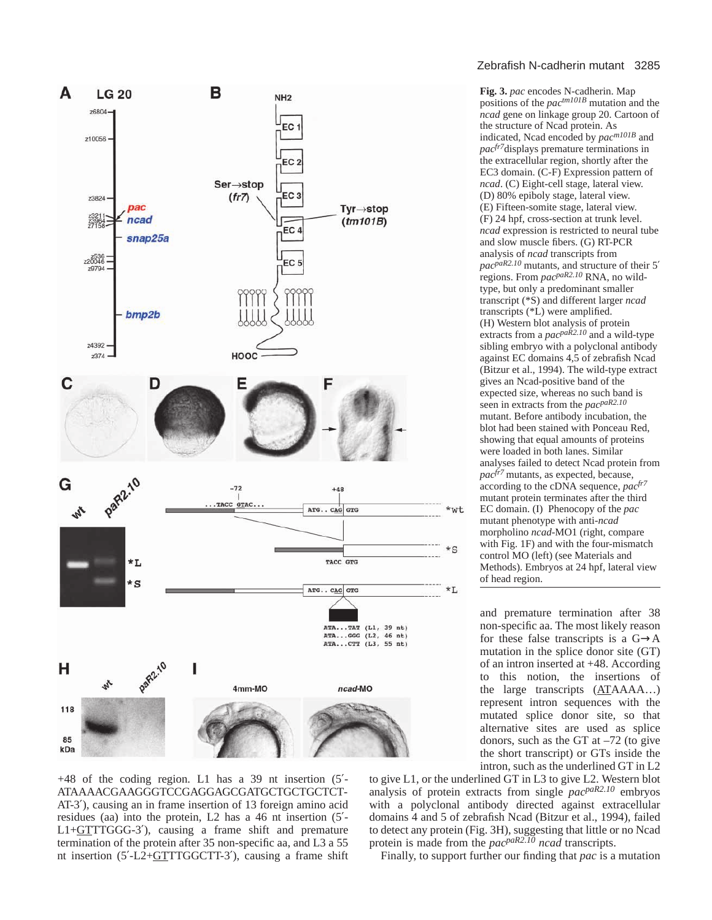

*ncad*. (C) Eight-cell stage, lateral view. (D) 80% epiboly stage, lateral view. (E) Fifteen-somite stage, lateral view. (F) 24 hpf, cross-section at trunk level. *ncad* expression is restricted to neural tube and slow muscle fibers. (G) RT-PCR analysis of *ncad* transcripts from *pacpaR2.10* mutants, and structure of their 5′ regions. From *pacpaR2.10* RNA, no wildtype, but only a predominant smaller transcript (\*S) and different larger *ncad* transcripts (\*L) were amplified. (H) Western blot analysis of protein extracts from a *pacpaR2.10* and a wild-type sibling embryo with a polyclonal antibody against EC domains 4,5 of zebrafish Ncad (Bitzur et al., 1994). The wild-type extract gives an Ncad-positive band of the expected size, whereas no such band is seen in extracts from the *pacpaR2.10* mutant. Before antibody incubation, the blot had been stained with Ponceau Red, showing that equal amounts of proteins were loaded in both lanes. Similar analyses failed to detect Ncad protein from *pacfr7* mutants, as expected, because, according to the cDNA sequence, *pacfr7* mutant protein terminates after the third EC domain. (I) Phenocopy of the *pac* mutant phenotype with anti-*ncad* morpholino *ncad*-MO1 (right, compare with Fig. 1F) and with the four-mismatch control MO (left) (see Materials and Methods). Embryos at 24 hpf, lateral view of head region.

and premature termination after 38 non-specific aa. The most likely reason for these false transcripts is a  $G \rightarrow A$ mutation in the splice donor site (GT) of an intron inserted at +48. According to this notion, the insertions of the large transcripts (ATAAAA…) represent intron sequences with the mutated splice donor site, so that alternative sites are used as splice donors, such as the GT at –72 (to give the short transcript) or GTs inside the intron, such as the underlined GT in L2

+48 of the coding region. L1 has a 39 nt insertion (5′- ATAAAACGAAGGGTCCGAGGAGCGATGCTGCTGCTCT-AT-3′), causing an in frame insertion of 13 foreign amino acid residues (aa) into the protein, L2 has a 46 nt insertion (5′-  $L1+GTTTGGG-3'$ , causing a frame shift and premature termination of the protein after 35 non-specific aa, and L3 a 55 nt insertion (5′-L2+GTTTGGCTT-3′), causing a frame shift to give L1, or the underlined GT in L3 to give L2. Western blot analysis of protein extracts from single *pacpaR2.10* embryos with a polyclonal antibody directed against extracellular domains 4 and 5 of zebrafish Ncad (Bitzur et al., 1994), failed to detect any protein (Fig. 3H), suggesting that little or no Ncad protein is made from the *pacpaR2.10 ncad* transcripts.

Finally, to support further our finding that *pac* is a mutation

### Zebrafish N-cadherin mutant 3285

**Fig. 3.** *pac* encodes N-cadherin. Map positions of the *pactm101B* mutation and the *ncad* gene on linkage group 20. Cartoon of

the structure of Ncad protein. As indicated, Ncad encoded by *pacm101B* and *pacfr7*displays premature terminations in the extracellular region, shortly after the EC3 domain. (C-F) Expression pattern of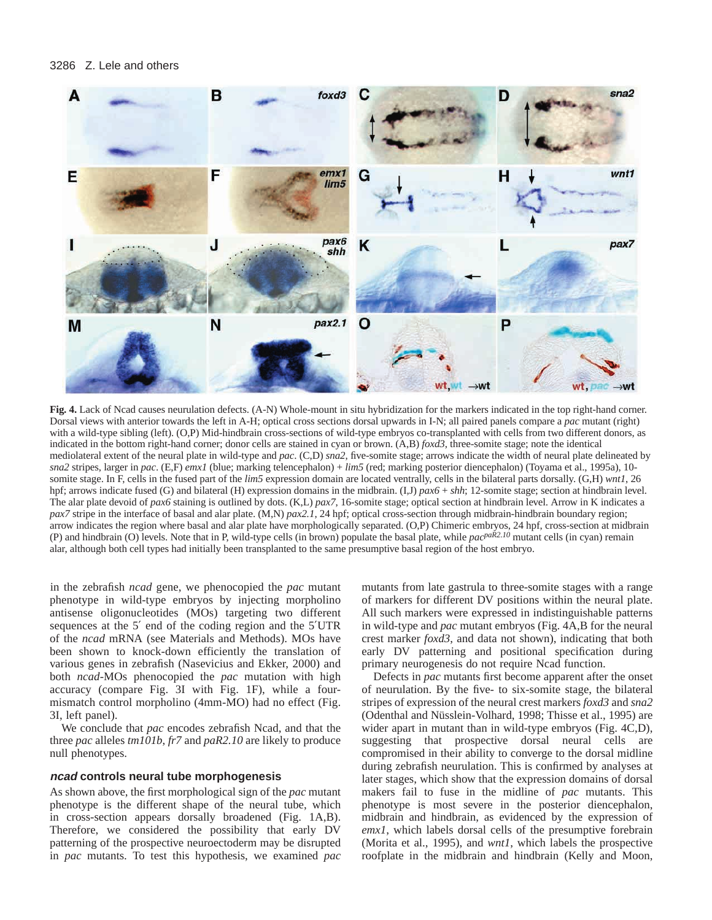

**Fig. 4.** Lack of Ncad causes neurulation defects. (A-N) Whole-mount in situ hybridization for the markers indicated in the top right-hand corner. Dorsal views with anterior towards the left in A-H; optical cross sections dorsal upwards in I-N; all paired panels compare a *pac* mutant (right) with a wild-type sibling (left). (O,P) Mid-hindbrain cross-sections of wild-type embryos co-transplanted with cells from two different donors, as indicated in the bottom right-hand corner; donor cells are stained in cyan or brown. (A,B) *foxd3*, three-somite stage; note the identical mediolateral extent of the neural plate in wild-type and *pac*. (C,D) *sna2*, five-somite stage; arrows indicate the width of neural plate delineated by *sna2* stripes, larger in *pac*. (E,F) *emx1* (blue; marking telencephalon) + *lim5* (red; marking posterior diencephalon) (Toyama et al., 1995a), 10 somite stage. In F, cells in the fused part of the *lim5* expression domain are located ventrally, cells in the bilateral parts dorsally. (G,H) *wnt1*, 26 hpf; arrows indicate fused (G) and bilateral (H) expression domains in the midbrain. (I,J) *pax6* + *shh*; 12-somite stage; section at hindbrain level. The alar plate devoid of *pax6* staining is outlined by dots. (K,L) *pax7*, 16-somite stage; optical section at hindbrain level. Arrow in K indicates a *pax7* stripe in the interface of basal and alar plate. (M,N) *pax2.1*, 24 hpf; optical cross-section through midbrain-hindbrain boundary region; arrow indicates the region where basal and alar plate have morphologically separated. (O,P) Chimeric embryos, 24 hpf, cross-section at midbrain (P) and hindbrain (O) levels. Note that in P, wild-type cells (in brown) populate the basal plate, while *pacpaR2.10* mutant cells (in cyan) remain alar, although both cell types had initially been transplanted to the same presumptive basal region of the host embryo.

in the zebrafish *ncad* gene, we phenocopied the *pac* mutant phenotype in wild-type embryos by injecting morpholino antisense oligonucleotides (MOs) targeting two different sequences at the 5′ end of the coding region and the 5′UTR of the *ncad* mRNA (see Materials and Methods). MOs have been shown to knock-down efficiently the translation of various genes in zebrafish (Nasevicius and Ekker, 2000) and both *ncad*-MOs phenocopied the *pac* mutation with high accuracy (compare Fig. 3I with Fig. 1F), while a fourmismatch control morpholino (4mm-MO) had no effect (Fig. 3I, left panel).

We conclude that *pac* encodes zebrafish Ncad, and that the three *pac* alleles *tm101b*, *fr7* and *paR2.10* are likely to produce null phenotypes.

#### **ncad controls neural tube morphogenesis**

As shown above, the first morphological sign of the *pac* mutant phenotype is the different shape of the neural tube, which in cross-section appears dorsally broadened (Fig. 1A,B). Therefore, we considered the possibility that early DV patterning of the prospective neuroectoderm may be disrupted in *pac* mutants. To test this hypothesis, we examined *pac*

mutants from late gastrula to three-somite stages with a range of markers for different DV positions within the neural plate. All such markers were expressed in indistinguishable patterns in wild-type and *pac* mutant embryos (Fig. 4A,B for the neural crest marker *foxd3*, and data not shown), indicating that both early DV patterning and positional specification during primary neurogenesis do not require Ncad function.

Defects in *pac* mutants first become apparent after the onset of neurulation. By the five- to six-somite stage, the bilateral stripes of expression of the neural crest markers *foxd3* and *sna2* (Odenthal and Nüsslein-Volhard, 1998; Thisse et al., 1995) are wider apart in mutant than in wild-type embryos (Fig. 4C,D), suggesting that prospective dorsal neural cells are compromised in their ability to converge to the dorsal midline during zebrafish neurulation. This is confirmed by analyses at later stages, which show that the expression domains of dorsal makers fail to fuse in the midline of *pac* mutants. This phenotype is most severe in the posterior diencephalon, midbrain and hindbrain, as evidenced by the expression of *emx1*, which labels dorsal cells of the presumptive forebrain (Morita et al., 1995), and *wnt1*, which labels the prospective roofplate in the midbrain and hindbrain (Kelly and Moon,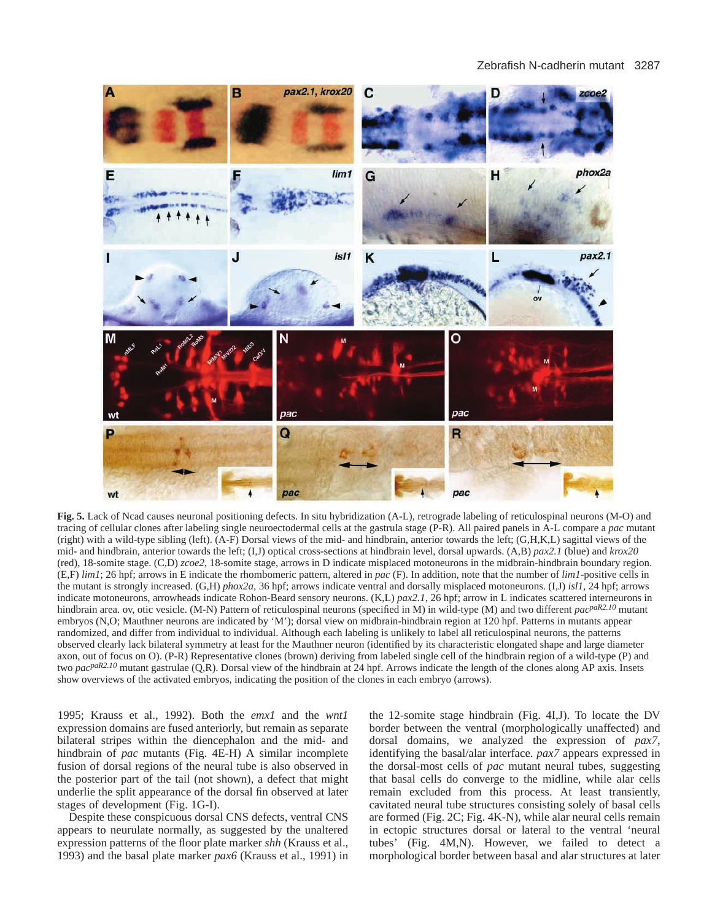

**Fig. 5.** Lack of Ncad causes neuronal positioning defects. In situ hybridization (A-L), retrograde labeling of reticulospinal neurons (M-O) and tracing of cellular clones after labeling single neuroectodermal cells at the gastrula stage (P-R). All paired panels in A-L compare a *pac* mutant (right) with a wild-type sibling (left). (A-F) Dorsal views of the mid- and hindbrain, anterior towards the left; (G,H,K,L) sagittal views of the mid- and hindbrain, anterior towards the left; (I,J) optical cross-sections at hindbrain level, dorsal upwards. (A,B) *pax2.1* (blue) and *krox20* (red), 18-somite stage. (C,D) *zcoe2*, 18-somite stage, arrows in D indicate misplaced motoneurons in the midbrain-hindbrain boundary region. (E,F) *lim1*; 26 hpf; arrows in E indicate the rhombomeric pattern, altered in *pac* (F). In addition, note that the number of *lim1*-positive cells in the mutant is strongly increased. (G,H) *phox2a*, 36 hpf; arrows indicate ventral and dorsally misplaced motoneurons. (I,J) *isl1*, 24 hpf; arrows indicate motoneurons, arrowheads indicate Rohon-Beard sensory neurons. (K,L) *pax2.1*, 26 hpf; arrow in L indicates scattered interneurons in hindbrain area. ov, otic vesicle. (M-N) Pattern of reticulospinal neurons (specified in M) in wild-type (M) and two different *pacpaR2.10* mutant embryos (N,O; Mauthner neurons are indicated by 'M'); dorsal view on midbrain-hindbrain region at 120 hpf. Patterns in mutants appear randomized, and differ from individual to individual. Although each labeling is unlikely to label all reticulospinal neurons, the patterns observed clearly lack bilateral symmetry at least for the Mauthner neuron (identified by its characteristic elongated shape and large diameter axon, out of focus on O). (P-R) Representative clones (brown) deriving from labeled single cell of the hindbrain region of a wild-type (P) and two *pacpaR2.10* mutant gastrulae (Q,R). Dorsal view of the hindbrain at 24 hpf. Arrows indicate the length of the clones along AP axis. Insets show overviews of the activated embryos, indicating the position of the clones in each embryo (arrows).

1995; Krauss et al., 1992). Both the *emx1* and the *wnt1* expression domains are fused anteriorly, but remain as separate bilateral stripes within the diencephalon and the mid- and hindbrain of *pac* mutants (Fig. 4E-H) A similar incomplete fusion of dorsal regions of the neural tube is also observed in the posterior part of the tail (not shown), a defect that might underlie the split appearance of the dorsal fin observed at later stages of development (Fig. 1G-I).

Despite these conspicuous dorsal CNS defects, ventral CNS appears to neurulate normally, as suggested by the unaltered expression patterns of the floor plate marker *shh* (Krauss et al., 1993) and the basal plate marker *pax6* (Krauss et al., 1991) in

the 12-somite stage hindbrain (Fig. 4I,J). To locate the DV border between the ventral (morphologically unaffected) and dorsal domains, we analyzed the expression of *pax7*, identifying the basal/alar interface. *pax7* appears expressed in the dorsal-most cells of *pac* mutant neural tubes, suggesting that basal cells do converge to the midline, while alar cells remain excluded from this process. At least transiently, cavitated neural tube structures consisting solely of basal cells are formed (Fig. 2C; Fig. 4K-N), while alar neural cells remain in ectopic structures dorsal or lateral to the ventral 'neural tubes' (Fig. 4M,N). However, we failed to detect a morphological border between basal and alar structures at later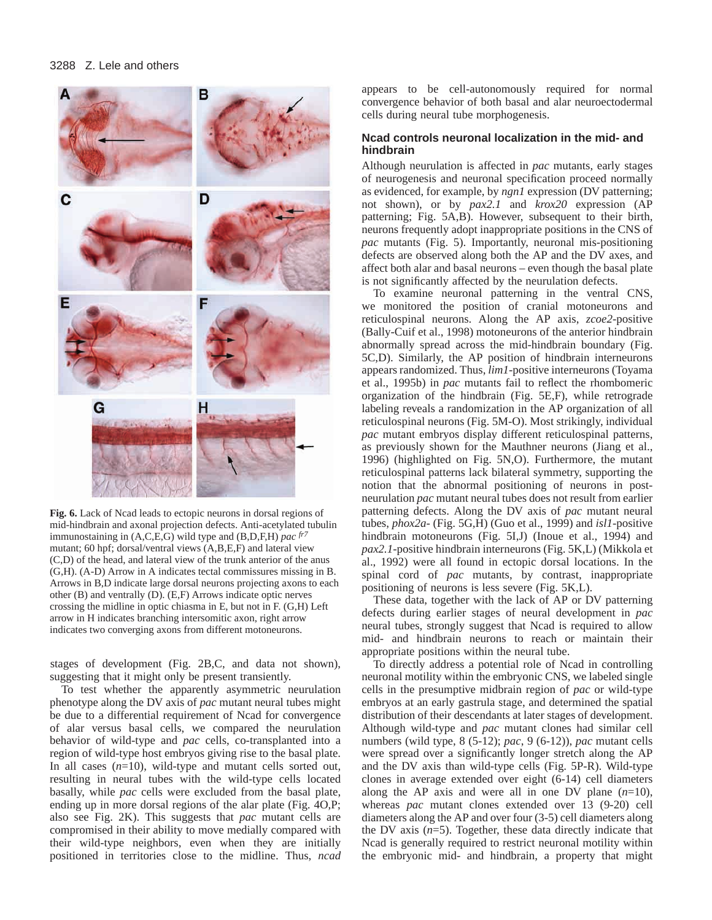

**Fig. 6.** Lack of Ncad leads to ectopic neurons in dorsal regions of mid-hindbrain and axonal projection defects. Anti-acetylated tubulin immunostaining in (A,C,E,G) wild type and (B,D,F,H) *pac fr7* mutant; 60 hpf; dorsal/ventral views (A,B,E,F) and lateral view (C,D) of the head, and lateral view of the trunk anterior of the anus (G,H). (A-D) Arrow in A indicates tectal commissures missing in B. Arrows in B,D indicate large dorsal neurons projecting axons to each other (B) and ventrally (D). (E,F) Arrows indicate optic nerves crossing the midline in optic chiasma in E, but not in F. (G,H) Left arrow in H indicates branching intersomitic axon, right arrow indicates two converging axons from different motoneurons.

stages of development (Fig. 2B,C, and data not shown), suggesting that it might only be present transiently.

To test whether the apparently asymmetric neurulation phenotype along the DV axis of *pac* mutant neural tubes might be due to a differential requirement of Ncad for convergence of alar versus basal cells, we compared the neurulation behavior of wild-type and *pac* cells, co-transplanted into a region of wild-type host embryos giving rise to the basal plate. In all cases (*n*=10), wild-type and mutant cells sorted out, resulting in neural tubes with the wild-type cells located basally, while *pac* cells were excluded from the basal plate, ending up in more dorsal regions of the alar plate (Fig. 4O,P; also see Fig. 2K). This suggests that *pac* mutant cells are compromised in their ability to move medially compared with their wild-type neighbors, even when they are initially positioned in territories close to the midline. Thus, *ncad*

appears to be cell-autonomously required for normal convergence behavior of both basal and alar neuroectodermal cells during neural tube morphogenesis.

### **Ncad controls neuronal localization in the mid- and hindbrain**

Although neurulation is affected in *pac* mutants, early stages of neurogenesis and neuronal specification proceed normally as evidenced, for example, by *ngn1* expression (DV patterning; not shown), or by *pax2.1* and *krox20* expression (AP patterning; Fig. 5A,B). However, subsequent to their birth, neurons frequently adopt inappropriate positions in the CNS of *pac* mutants (Fig. 5). Importantly, neuronal mis-positioning defects are observed along both the AP and the DV axes, and affect both alar and basal neurons – even though the basal plate is not significantly affected by the neurulation defects.

To examine neuronal patterning in the ventral CNS, we monitored the position of cranial motoneurons and reticulospinal neurons. Along the AP axis, *zcoe2*-positive (Bally-Cuif et al., 1998) motoneurons of the anterior hindbrain abnormally spread across the mid-hindbrain boundary (Fig. 5C,D). Similarly, the AP position of hindbrain interneurons appears randomized. Thus, *lim1*-positive interneurons (Toyama et al., 1995b) in *pac* mutants fail to reflect the rhombomeric organization of the hindbrain (Fig. 5E,F), while retrograde labeling reveals a randomization in the AP organization of all reticulospinal neurons (Fig. 5M-O). Most strikingly, individual *pac* mutant embryos display different reticulospinal patterns, as previously shown for the Mauthner neurons (Jiang et al., 1996) (highlighted on Fig. 5N,O). Furthermore, the mutant reticulospinal patterns lack bilateral symmetry, supporting the notion that the abnormal positioning of neurons in postneurulation *pac* mutant neural tubes does not result from earlier patterning defects. Along the DV axis of *pac* mutant neural tubes, *phox2a*- (Fig. 5G,H) (Guo et al., 1999) and *isl1*-positive hindbrain motoneurons (Fig. 5I,J) (Inoue et al., 1994) and *pax2.1*-positive hindbrain interneurons (Fig. 5K,L) (Mikkola et al., 1992) were all found in ectopic dorsal locations. In the spinal cord of *pac* mutants, by contrast, inappropriate positioning of neurons is less severe (Fig. 5K,L).

These data, together with the lack of AP or DV patterning defects during earlier stages of neural development in *pac* neural tubes, strongly suggest that Ncad is required to allow mid- and hindbrain neurons to reach or maintain their appropriate positions within the neural tube.

To directly address a potential role of Ncad in controlling neuronal motility within the embryonic CNS, we labeled single cells in the presumptive midbrain region of *pac* or wild-type embryos at an early gastrula stage, and determined the spatial distribution of their descendants at later stages of development. Although wild-type and *pac* mutant clones had similar cell numbers (wild type, 8 (5-12); *pac*, 9 (6-12)), *pac* mutant cells were spread over a significantly longer stretch along the AP and the DV axis than wild-type cells (Fig. 5P-R). Wild-type clones in average extended over eight (6-14) cell diameters along the AP axis and were all in one DV plane  $(n=10)$ , whereas *pac* mutant clones extended over 13 (9-20) cell diameters along the AP and over four (3-5) cell diameters along the DV axis  $(n=5)$ . Together, these data directly indicate that Ncad is generally required to restrict neuronal motility within the embryonic mid- and hindbrain, a property that might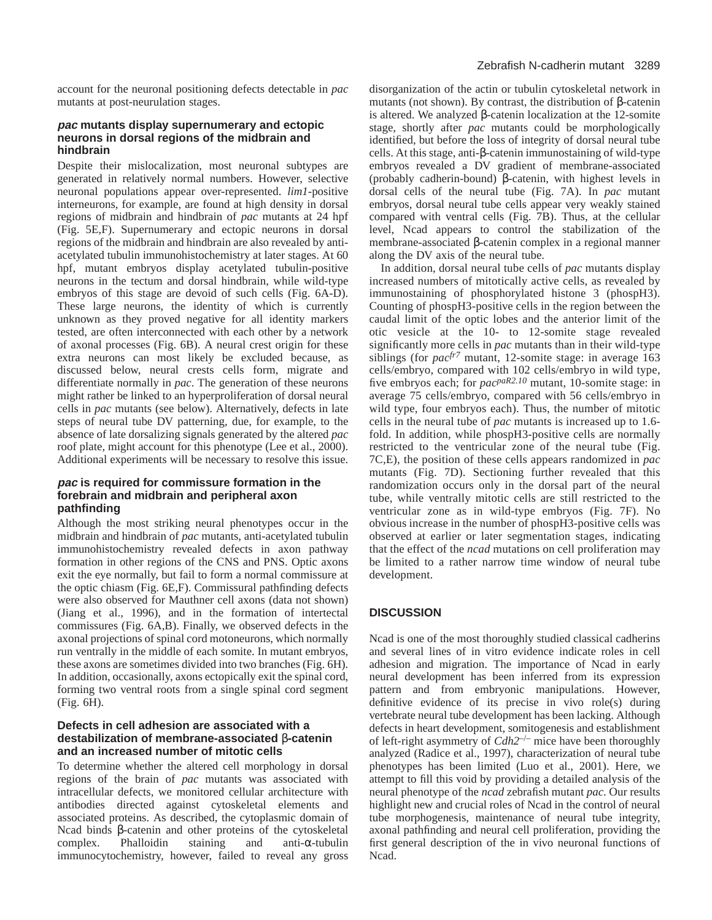account for the neuronal positioning defects detectable in *pac* mutants at post-neurulation stages.

### **pac mutants display supernumerary and ectopic neurons in dorsal regions of the midbrain and hindbrain**

Despite their mislocalization, most neuronal subtypes are generated in relatively normal numbers. However, selective neuronal populations appear over-represented. *lim1*-positive interneurons, for example, are found at high density in dorsal regions of midbrain and hindbrain of *pac* mutants at 24 hpf (Fig. 5E,F). Supernumerary and ectopic neurons in dorsal regions of the midbrain and hindbrain are also revealed by antiacetylated tubulin immunohistochemistry at later stages. At 60 hpf, mutant embryos display acetylated tubulin-positive neurons in the tectum and dorsal hindbrain, while wild-type embryos of this stage are devoid of such cells (Fig. 6A-D). These large neurons, the identity of which is currently unknown as they proved negative for all identity markers tested, are often interconnected with each other by a network of axonal processes (Fig. 6B). A neural crest origin for these extra neurons can most likely be excluded because, as discussed below, neural crests cells form, migrate and differentiate normally in *pac*. The generation of these neurons might rather be linked to an hyperproliferation of dorsal neural cells in *pac* mutants (see below). Alternatively, defects in late steps of neural tube DV patterning, due, for example, to the absence of late dorsalizing signals generated by the altered *pac* roof plate, might account for this phenotype (Lee et al., 2000). Additional experiments will be necessary to resolve this issue.

### **pac is required for commissure formation in the forebrain and midbrain and peripheral axon pathfinding**

Although the most striking neural phenotypes occur in the midbrain and hindbrain of *pac* mutants, anti-acetylated tubulin immunohistochemistry revealed defects in axon pathway formation in other regions of the CNS and PNS. Optic axons exit the eye normally, but fail to form a normal commissure at the optic chiasm (Fig. 6E,F). Commissural pathfinding defects were also observed for Mauthner cell axons (data not shown) (Jiang et al., 1996), and in the formation of intertectal commissures (Fig. 6A,B). Finally, we observed defects in the axonal projections of spinal cord motoneurons, which normally run ventrally in the middle of each somite. In mutant embryos, these axons are sometimes divided into two branches (Fig. 6H). In addition, occasionally, axons ectopically exit the spinal cord, forming two ventral roots from a single spinal cord segment (Fig. 6H).

### **Defects in cell adhesion are associated with a destabilization of membrane-associated** β**-catenin and an increased number of mitotic cells**

To determine whether the altered cell morphology in dorsal regions of the brain of *pac* mutants was associated with intracellular defects, we monitored cellular architecture with antibodies directed against cytoskeletal elements and associated proteins. As described, the cytoplasmic domain of Ncad binds β-catenin and other proteins of the cytoskeletal complex. Phalloidin staining and anti-α-tubulin immunocytochemistry, however, failed to reveal any gross

disorganization of the actin or tubulin cytoskeletal network in mutants (not shown). By contrast, the distribution of β-catenin is altered. We analyzed β-catenin localization at the 12-somite stage, shortly after *pac* mutants could be morphologically identified, but before the loss of integrity of dorsal neural tube cells. At this stage, anti-β-catenin immunostaining of wild-type embryos revealed a DV gradient of membrane-associated (probably cadherin-bound) β-catenin, with highest levels in dorsal cells of the neural tube (Fig. 7A). In *pac* mutant embryos, dorsal neural tube cells appear very weakly stained compared with ventral cells (Fig. 7B). Thus, at the cellular level, Ncad appears to control the stabilization of the membrane-associated β-catenin complex in a regional manner along the DV axis of the neural tube.

In addition, dorsal neural tube cells of *pac* mutants display increased numbers of mitotically active cells, as revealed by immunostaining of phosphorylated histone 3 (phospH3). Counting of phospH3-positive cells in the region between the caudal limit of the optic lobes and the anterior limit of the otic vesicle at the 10- to 12-somite stage revealed significantly more cells in *pac* mutants than in their wild-type siblings (for *pacfr7* mutant, 12-somite stage: in average 163 cells/embryo, compared with 102 cells/embryo in wild type, five embryos each; for *pacpaR2.10* mutant, 10-somite stage: in average 75 cells/embryo, compared with 56 cells/embryo in wild type, four embryos each). Thus, the number of mitotic cells in the neural tube of *pac* mutants is increased up to 1.6 fold. In addition, while phospH3-positive cells are normally restricted to the ventricular zone of the neural tube (Fig. 7C,E), the position of these cells appears randomized in *pac* mutants (Fig. 7D). Sectioning further revealed that this randomization occurs only in the dorsal part of the neural tube, while ventrally mitotic cells are still restricted to the ventricular zone as in wild-type embryos (Fig. 7F). No obvious increase in the number of phospH3-positive cells was observed at earlier or later segmentation stages, indicating that the effect of the *ncad* mutations on cell proliferation may be limited to a rather narrow time window of neural tube development.

## **DISCUSSION**

Ncad is one of the most thoroughly studied classical cadherins and several lines of in vitro evidence indicate roles in cell adhesion and migration. The importance of Ncad in early neural development has been inferred from its expression pattern and from embryonic manipulations. However, definitive evidence of its precise in vivo role(s) during vertebrate neural tube development has been lacking. Although defects in heart development, somitogenesis and establishment of left-right asymmetry of *Cdh2*–/– mice have been thoroughly analyzed (Radice et al., 1997), characterization of neural tube phenotypes has been limited (Luo et al., 2001). Here, we attempt to fill this void by providing a detailed analysis of the neural phenotype of the *ncad* zebrafish mutant *pac*. Our results highlight new and crucial roles of Ncad in the control of neural tube morphogenesis, maintenance of neural tube integrity, axonal pathfinding and neural cell proliferation, providing the first general description of the in vivo neuronal functions of Ncad.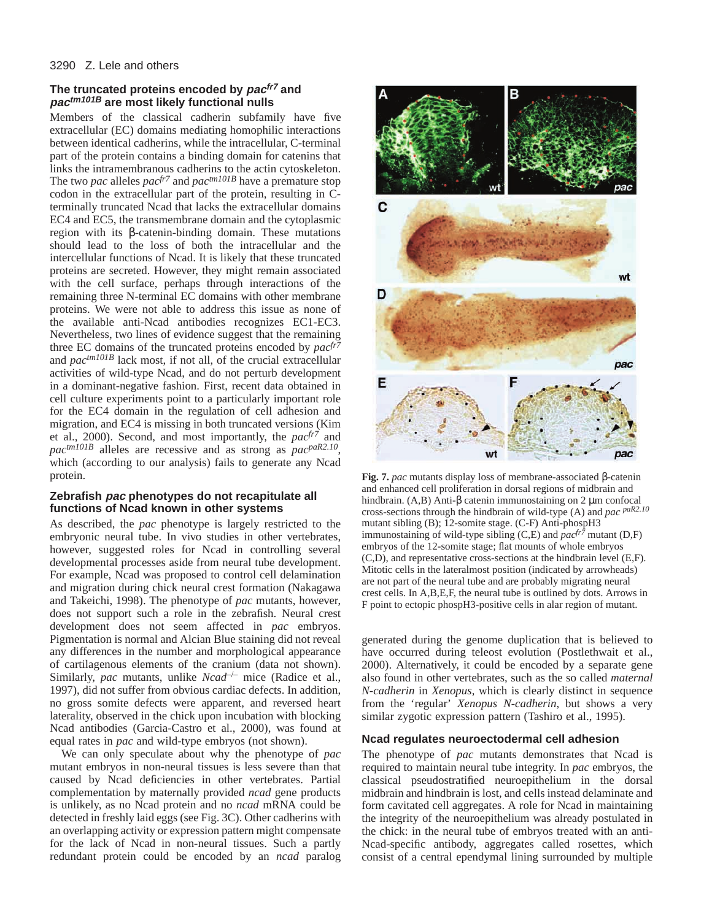### **The truncated proteins encoded by pacfr7 and pactm101B are most likely functional nulls**

Members of the classical cadherin subfamily have five extracellular (EC) domains mediating homophilic interactions between identical cadherins, while the intracellular, C-terminal part of the protein contains a binding domain for catenins that links the intramembranous cadherins to the actin cytoskeleton. The two *pac* alleles *pacfr7* and *pactm101B* have a premature stop codon in the extracellular part of the protein, resulting in Cterminally truncated Ncad that lacks the extracellular domains EC4 and EC5, the transmembrane domain and the cytoplasmic region with its β-catenin-binding domain. These mutations should lead to the loss of both the intracellular and the intercellular functions of Ncad. It is likely that these truncated proteins are secreted. However, they might remain associated with the cell surface, perhaps through interactions of the remaining three N-terminal EC domains with other membrane proteins. We were not able to address this issue as none of the available anti-Ncad antibodies recognizes EC1-EC3. Nevertheless, two lines of evidence suggest that the remaining three EC domains of the truncated proteins encoded by *pacfr7* and *pactm101B* lack most, if not all, of the crucial extracellular activities of wild-type Ncad, and do not perturb development in a dominant-negative fashion. First, recent data obtained in cell culture experiments point to a particularly important role for the EC4 domain in the regulation of cell adhesion and migration, and EC4 is missing in both truncated versions (Kim et al., 2000). Second, and most importantly, the *pacfr7* and *pactm101B* alleles are recessive and as strong as *pacpaR2.10*, which (according to our analysis) fails to generate any Ncad protein.

### **Zebrafish pac phenotypes do not recapitulate all functions of Ncad known in other systems**

As described, the *pac* phenotype is largely restricted to the embryonic neural tube. In vivo studies in other vertebrates, however, suggested roles for Ncad in controlling several developmental processes aside from neural tube development. For example, Ncad was proposed to control cell delamination and migration during chick neural crest formation (Nakagawa and Takeichi, 1998). The phenotype of *pac* mutants, however, does not support such a role in the zebrafish. Neural crest development does not seem affected in *pac* embryos. Pigmentation is normal and Alcian Blue staining did not reveal any differences in the number and morphological appearance of cartilagenous elements of the cranium (data not shown). Similarly, *pac* mutants, unlike *Ncad<sup>-/-</sup>* mice (Radice et al., 1997), did not suffer from obvious cardiac defects. In addition, no gross somite defects were apparent, and reversed heart laterality, observed in the chick upon incubation with blocking Ncad antibodies (Garcia-Castro et al., 2000), was found at equal rates in *pac* and wild-type embryos (not shown).

We can only speculate about why the phenotype of *pac* mutant embryos in non-neural tissues is less severe than that caused by Ncad deficiencies in other vertebrates. Partial complementation by maternally provided *ncad* gene products is unlikely, as no Ncad protein and no *ncad* mRNA could be detected in freshly laid eggs (see Fig. 3C). Other cadherins with an overlapping activity or expression pattern might compensate for the lack of Ncad in non-neural tissues. Such a partly redundant protein could be encoded by an *ncad* paralog



**Fig. 7.** *pac* mutants display loss of membrane-associated β-catenin and enhanced cell proliferation in dorsal regions of midbrain and hindbrain. (A,B) Anti-β catenin immunostaining on 2 μm confocal cross-sections through the hindbrain of wild-type (A) and *pac paR2.10* mutant sibling (B); 12-somite stage. (C-F) Anti-phospH3 immunostaining of wild-type sibling  $(C,E)$  and  $pac^{fr\bar{7}}$  mutant  $(D,F)$ embryos of the 12-somite stage; flat mounts of whole embryos (C,D), and representative cross-sections at the hindbrain level (E,F). Mitotic cells in the lateralmost position (indicated by arrowheads) are not part of the neural tube and are probably migrating neural crest cells. In A,B,E,F, the neural tube is outlined by dots. Arrows in F point to ectopic phospH3-positive cells in alar region of mutant.

generated during the genome duplication that is believed to have occurred during teleost evolution (Postlethwait et al., 2000). Alternatively, it could be encoded by a separate gene also found in other vertebrates, such as the so called *maternal N-cadherin* in *Xenopus*, which is clearly distinct in sequence from the 'regular' *Xenopus N-cadherin*, but shows a very similar zygotic expression pattern (Tashiro et al., 1995).

### **Ncad regulates neuroectodermal cell adhesion**

The phenotype of *pac* mutants demonstrates that Ncad is required to maintain neural tube integrity. In *pac* embryos, the classical pseudostratified neuroepithelium in the dorsal midbrain and hindbrain is lost, and cells instead delaminate and form cavitated cell aggregates. A role for Ncad in maintaining the integrity of the neuroepithelium was already postulated in the chick: in the neural tube of embryos treated with an anti-Ncad-specific antibody, aggregates called rosettes, which consist of a central ependymal lining surrounded by multiple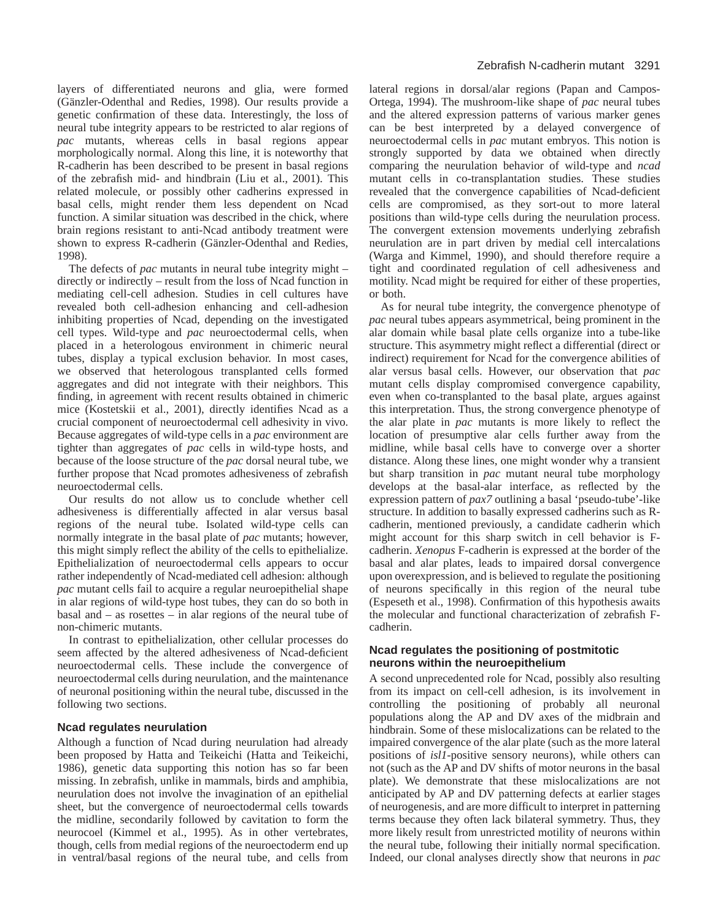layers of differentiated neurons and glia, were formed (Gänzler-Odenthal and Redies, 1998). Our results provide a genetic confirmation of these data. Interestingly, the loss of neural tube integrity appears to be restricted to alar regions of *pac* mutants, whereas cells in basal regions appear morphologically normal. Along this line, it is noteworthy that R-cadherin has been described to be present in basal regions of the zebrafish mid- and hindbrain (Liu et al., 2001). This related molecule, or possibly other cadherins expressed in basal cells, might render them less dependent on Ncad function. A similar situation was described in the chick, where brain regions resistant to anti-Ncad antibody treatment were shown to express R-cadherin (Gänzler-Odenthal and Redies, 1998).

The defects of *pac* mutants in neural tube integrity might – directly or indirectly – result from the loss of Ncad function in mediating cell-cell adhesion. Studies in cell cultures have revealed both cell-adhesion enhancing and cell-adhesion inhibiting properties of Ncad, depending on the investigated cell types. Wild-type and *pac* neuroectodermal cells, when placed in a heterologous environment in chimeric neural tubes, display a typical exclusion behavior. In most cases, we observed that heterologous transplanted cells formed aggregates and did not integrate with their neighbors. This finding, in agreement with recent results obtained in chimeric mice (Kostetskii et al., 2001), directly identifies Ncad as a crucial component of neuroectodermal cell adhesivity in vivo. Because aggregates of wild-type cells in a *pac* environment are tighter than aggregates of *pac* cells in wild-type hosts, and because of the loose structure of the *pac* dorsal neural tube, we further propose that Ncad promotes adhesiveness of zebrafish neuroectodermal cells.

Our results do not allow us to conclude whether cell adhesiveness is differentially affected in alar versus basal regions of the neural tube. Isolated wild-type cells can normally integrate in the basal plate of *pac* mutants; however, this might simply reflect the ability of the cells to epithelialize. Epithelialization of neuroectodermal cells appears to occur rather independently of Ncad-mediated cell adhesion: although *pac* mutant cells fail to acquire a regular neuroepithelial shape in alar regions of wild-type host tubes, they can do so both in basal and – as rosettes – in alar regions of the neural tube of non-chimeric mutants.

In contrast to epithelialization, other cellular processes do seem affected by the altered adhesiveness of Ncad-deficient neuroectodermal cells. These include the convergence of neuroectodermal cells during neurulation, and the maintenance of neuronal positioning within the neural tube, discussed in the following two sections.

### **Ncad regulates neurulation**

Although a function of Ncad during neurulation had already been proposed by Hatta and Teikeichi (Hatta and Teikeichi, 1986), genetic data supporting this notion has so far been missing. In zebrafish, unlike in mammals, birds and amphibia, neurulation does not involve the invagination of an epithelial sheet, but the convergence of neuroectodermal cells towards the midline, secondarily followed by cavitation to form the neurocoel (Kimmel et al., 1995). As in other vertebrates, though, cells from medial regions of the neuroectoderm end up in ventral/basal regions of the neural tube, and cells from

lateral regions in dorsal/alar regions (Papan and Campos-Ortega, 1994). The mushroom-like shape of *pac* neural tubes and the altered expression patterns of various marker genes can be best interpreted by a delayed convergence of neuroectodermal cells in *pac* mutant embryos. This notion is strongly supported by data we obtained when directly comparing the neurulation behavior of wild-type and *ncad* mutant cells in co-transplantation studies. These studies revealed that the convergence capabilities of Ncad-deficient cells are compromised, as they sort-out to more lateral positions than wild-type cells during the neurulation process. The convergent extension movements underlying zebrafish neurulation are in part driven by medial cell intercalations (Warga and Kimmel, 1990), and should therefore require a tight and coordinated regulation of cell adhesiveness and motility. Ncad might be required for either of these properties, or both.

As for neural tube integrity, the convergence phenotype of *pac* neural tubes appears asymmetrical, being prominent in the alar domain while basal plate cells organize into a tube-like structure. This asymmetry might reflect a differential (direct or indirect) requirement for Ncad for the convergence abilities of alar versus basal cells. However, our observation that *pac* mutant cells display compromised convergence capability, even when co-transplanted to the basal plate, argues against this interpretation. Thus, the strong convergence phenotype of the alar plate in *pac* mutants is more likely to reflect the location of presumptive alar cells further away from the midline, while basal cells have to converge over a shorter distance. Along these lines, one might wonder why a transient but sharp transition in *pac* mutant neural tube morphology develops at the basal-alar interface, as reflected by the expression pattern of *pax7* outlining a basal 'pseudo-tube'-like structure. In addition to basally expressed cadherins such as Rcadherin, mentioned previously, a candidate cadherin which might account for this sharp switch in cell behavior is Fcadherin. *Xenopus* F-cadherin is expressed at the border of the basal and alar plates, leads to impaired dorsal convergence upon overexpression, and is believed to regulate the positioning of neurons specifically in this region of the neural tube (Espeseth et al., 1998). Confirmation of this hypothesis awaits the molecular and functional characterization of zebrafish Fcadherin.

### **Ncad regulates the positioning of postmitotic neurons within the neuroepithelium**

A second unprecedented role for Ncad, possibly also resulting from its impact on cell-cell adhesion, is its involvement in controlling the positioning of probably all neuronal populations along the AP and DV axes of the midbrain and hindbrain. Some of these mislocalizations can be related to the impaired convergence of the alar plate (such as the more lateral positions of *isl1*-positive sensory neurons), while others can not (such as the AP and DV shifts of motor neurons in the basal plate). We demonstrate that these mislocalizations are not anticipated by AP and DV patterning defects at earlier stages of neurogenesis, and are more difficult to interpret in patterning terms because they often lack bilateral symmetry. Thus, they more likely result from unrestricted motility of neurons within the neural tube, following their initially normal specification. Indeed, our clonal analyses directly show that neurons in *pac*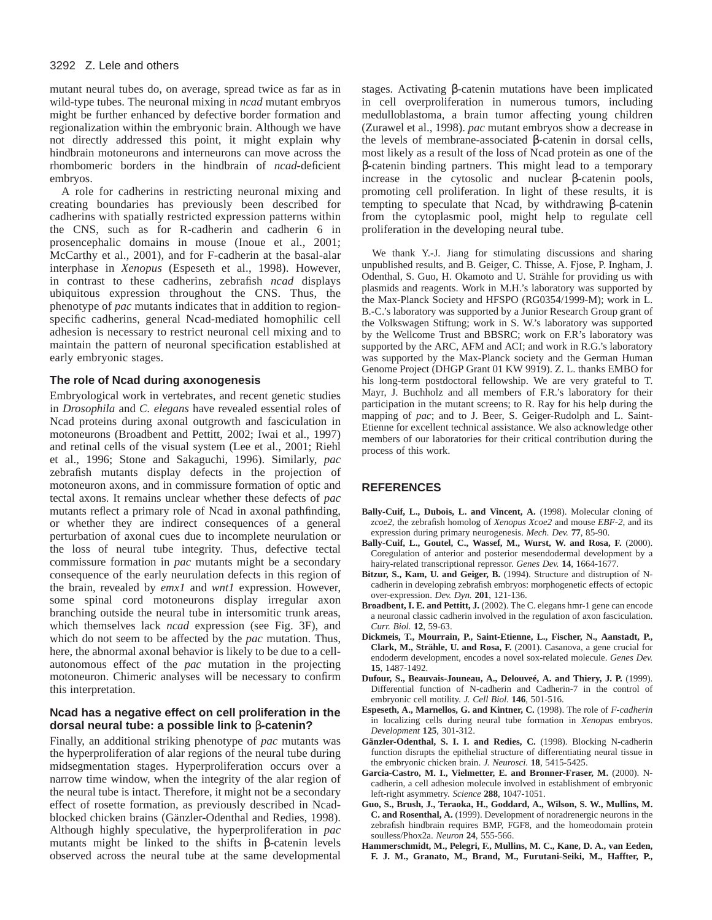mutant neural tubes do, on average, spread twice as far as in wild-type tubes. The neuronal mixing in *ncad* mutant embryos might be further enhanced by defective border formation and regionalization within the embryonic brain. Although we have not directly addressed this point, it might explain why hindbrain motoneurons and interneurons can move across the rhombomeric borders in the hindbrain of *ncad*-deficient embryos.

A role for cadherins in restricting neuronal mixing and creating boundaries has previously been described for cadherins with spatially restricted expression patterns within the CNS, such as for R-cadherin and cadherin 6 in prosencephalic domains in mouse (Inoue et al., 2001; McCarthy et al., 2001), and for F-cadherin at the basal-alar interphase in *Xenopus* (Espeseth et al., 1998). However, in contrast to these cadherins, zebrafish *ncad* displays ubiquitous expression throughout the CNS. Thus, the phenotype of *pac* mutants indicates that in addition to regionspecific cadherins, general Ncad-mediated homophilic cell adhesion is necessary to restrict neuronal cell mixing and to maintain the pattern of neuronal specification established at early embryonic stages.

### **The role of Ncad during axonogenesis**

Embryological work in vertebrates, and recent genetic studies in *Drosophila* and *C. elegans* have revealed essential roles of Ncad proteins during axonal outgrowth and fasciculation in motoneurons (Broadbent and Pettitt, 2002; Iwai et al., 1997) and retinal cells of the visual system (Lee et al., 2001; Riehl et al., 1996; Stone and Sakaguchi, 1996). Similarly, *pac* zebrafish mutants display defects in the projection of motoneuron axons, and in commissure formation of optic and tectal axons. It remains unclear whether these defects of *pac* mutants reflect a primary role of Ncad in axonal pathfinding, or whether they are indirect consequences of a general perturbation of axonal cues due to incomplete neurulation or the loss of neural tube integrity. Thus, defective tectal commissure formation in *pac* mutants might be a secondary consequence of the early neurulation defects in this region of the brain, revealed by *emx1* and *wnt1* expression. However, some spinal cord motoneurons display irregular axon branching outside the neural tube in intersomitic trunk areas, which themselves lack *ncad* expression (see Fig. 3F), and which do not seem to be affected by the *pac* mutation. Thus, here, the abnormal axonal behavior is likely to be due to a cellautonomous effect of the *pac* mutation in the projecting motoneuron. Chimeric analyses will be necessary to confirm this interpretation.

### **Ncad has a negative effect on cell proliferation in the dorsal neural tube: a possible link to** β**-catenin?**

Finally, an additional striking phenotype of *pac* mutants was the hyperproliferation of alar regions of the neural tube during midsegmentation stages. Hyperproliferation occurs over a narrow time window, when the integrity of the alar region of the neural tube is intact. Therefore, it might not be a secondary effect of rosette formation, as previously described in Ncadblocked chicken brains (Gänzler-Odenthal and Redies, 1998). Although highly speculative, the hyperproliferation in *pac* mutants might be linked to the shifts in β-catenin levels observed across the neural tube at the same developmental

stages. Activating β-catenin mutations have been implicated in cell overproliferation in numerous tumors, including medulloblastoma, a brain tumor affecting young children (Zurawel et al., 1998). *pac* mutant embryos show a decrease in the levels of membrane-associated β-catenin in dorsal cells, most likely as a result of the loss of Ncad protein as one of the β-catenin binding partners. This might lead to a temporary increase in the cytosolic and nuclear β-catenin pools, promoting cell proliferation. In light of these results, it is tempting to speculate that Ncad, by withdrawing β-catenin from the cytoplasmic pool, might help to regulate cell proliferation in the developing neural tube.

We thank Y.-J. Jiang for stimulating discussions and sharing unpublished results, and B. Geiger, C. Thisse, A. Fjose, P. Ingham, J. Odenthal, S. Guo, H. Okamoto and U. Strähle for providing us with plasmids and reagents. Work in M.H.'s laboratory was supported by the Max-Planck Society and HFSPO (RG0354/1999-M); work in L. B.-C.'s laboratory was supported by a Junior Research Group grant of the Volkswagen Stiftung; work in S. W.'s laboratory was supported by the Wellcome Trust and BBSRC; work on F.R's laboratory was supported by the ARC, AFM and ACI; and work in R.G.'s laboratory was supported by the Max-Planck society and the German Human Genome Project (DHGP Grant 01 KW 9919). Z. L. thanks EMBO for his long-term postdoctoral fellowship. We are very grateful to T. Mayr, J. Buchholz and all members of F.R.'s laboratory for their participation in the mutant screens; to R. Ray for his help during the mapping of *pac*; and to J. Beer, S. Geiger-Rudolph and L. Saint-Etienne for excellent technical assistance. We also acknowledge other members of our laboratories for their critical contribution during the process of this work.

### **REFERENCES**

- Bally-Cuif, L., Dubois, L. and Vincent, A. (1998). Molecular cloning of *zcoe2*, the zebrafish homolog of *Xenopus Xcoe2* and mouse *EBF-2*, and its expression during primary neurogenesis. *Mech. Dev.* **77**, 85-90.
- Bally-Cuif, L., Goutel, C., Wassef, M., Wurst, W. and Rosa, F. (2000). Coregulation of anterior and posterior mesendodermal development by a hairy-related transcriptional repressor. *Genes Dev.* **14**, 1664-1677.
- **Bitzur, S., Kam, U. and Geiger, B.** (1994). Structure and distruption of Ncadherin in developing zebrafish embryos: morphogenetic effects of ectopic over-expression. *Dev. Dyn.* **201**, 121-136.
- **Broadbent, I. E. and Pettitt, J.** (2002). The C. elegans hmr-1 gene can encode a neuronal classic cadherin involved in the regulation of axon fasciculation. *Curr. Biol.* **12**, 59-63.
- **Dickmeis, T., Mourrain, P., Saint-Etienne, L., Fischer, N., Aanstadt, P., Clark, M., Strähle, U. and Rosa, F.** (2001). Casanova, a gene crucial for endoderm development, encodes a novel sox-related molecule. *Genes Dev.* **15**, 1487-1492.
- **Dufour, S., Beauvais-Jouneau, A., Delouveé, A. and Thiery, J. P.** (1999). Differential function of N-cadherin and Cadherin-7 in the control of embryonic cell motility. *J. Cell Biol.* **146**, 501-516.
- **Espeseth, A., Marnellos, G. and Kintner, C.** (1998). The role of *F-cadherin* in localizing cells during neural tube formation in *Xenopus* embryos. *Development* **125**, 301-312.
- **Gänzler-Odenthal, S. I. I. and Redies, C.** (1998). Blocking N-cadherin function disrupts the epithelial structure of differentiating neural tissue in the embryonic chicken brain. *J. Neurosci.* **18**, 5415-5425.
- **Garcia-Castro, M. I., Vielmetter, E. and Bronner-Fraser, M.** (2000). Ncadherin, a cell adhesion molecule involved in establishment of embryonic left-right asymmetry. *Science* **288**, 1047-1051.
- **Guo, S., Brush, J., Teraoka, H., Goddard, A., Wilson, S. W., Mullins, M. C. and Rosenthal, A.** (1999). Development of noradrenergic neurons in the zebrafish hindbrain requires BMP, FGF8, and the homeodomain protein soulless/Phox2a. *Neuron* **24**, 555-566.
- **Hammerschmidt, M., Pelegri, F., Mullins, M. C., Kane, D. A., van Eeden, F. J. M., Granato, M., Brand, M., Furutani-Seiki, M., Haffter, P.,**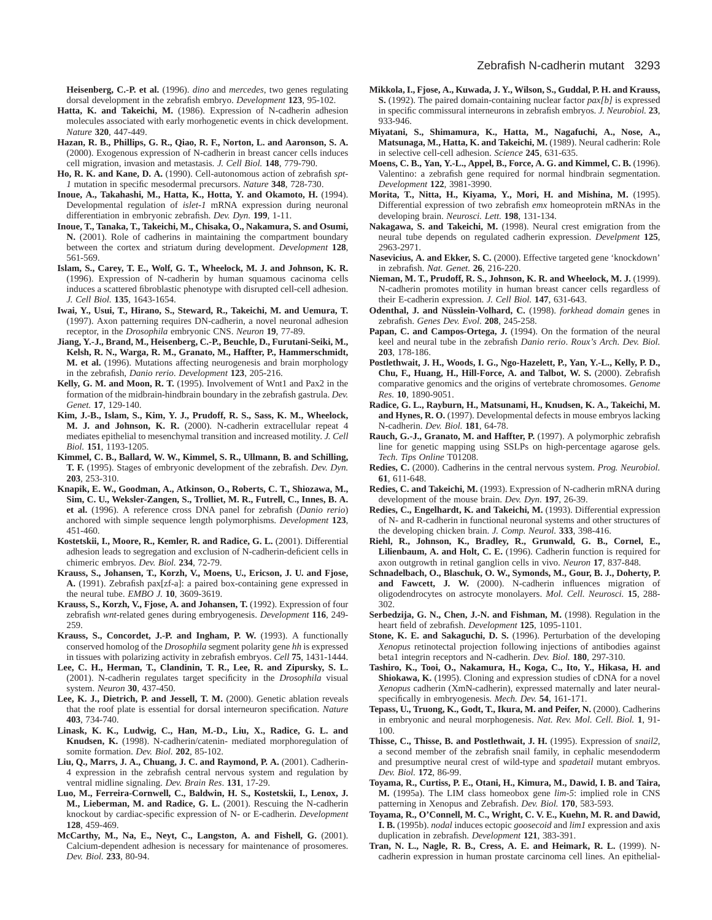**Heisenberg, C.-P. et al.** (1996). *dino* and *mercedes*, two genes regulating dorsal development in the zebrafish embryo. *Development* **123**, 95-102.

- **Hatta, K. and Takeichi, M.** (1986). Expression of N-cadherin adhesion molecules associated with early morhogenetic events in chick development. *Nature* **320**, 447-449.
- **Hazan, R. B., Phillips, G. R., Qiao, R. F., Norton, L. and Aaronson, S. A.** (2000). Exogenous expression of N-cadherin in breast cancer cells induces cell migration, invasion and metastasis. *J. Cell Biol.* **148**, 779-790.
- **Ho, R. K. and Kane, D. A.** (1990). Cell-autonomous action of zebrafish *spt-1* mutation in specific mesodermal precursors. *Nature* **348**, 728-730.
- **Inoue, A., Takahashi, M., Hatta, K., Hotta, Y. and Okamoto, H.** (1994). Developmental regulation of *islet-1* mRNA expression during neuronal differentiation in embryonic zebrafish. *Dev. Dyn.* **199**, 1-11.
- **Inoue, T., Tanaka, T., Takeichi, M., Chisaka, O., Nakamura, S. and Osumi, N.** (2001). Role of cadherins in maintaining the compartment boundary between the cortex and striatum during development. *Development* **128**, 561-569.
- **Islam, S., Carey, T. E., Wolf, G. T., Wheelock, M. J. and Johnson, K. R.** (1996). Expression of N-cadherin by human squamous cacinoma cells induces a scattered fibroblastic phenotype with disrupted cell-cell adhesion. *J. Cell Biol.* **135**, 1643-1654.
- **Iwai, Y., Usui, T., Hirano, S., Steward, R., Takeichi, M. and Uemura, T.** (1997). Axon patterning requires DN-cadherin, a novel neuronal adhesion receptor, in the *Drosophila* embryonic CNS. *Neuron* **19**, 77-89.
- **Jiang, Y.-J., Brand, M., Heisenberg, C.-P., Beuchle, D., Furutani-Seiki, M., Kelsh, R. N., Warga, R. M., Granato, M., Haffter, P., Hammerschmidt, M. et al.** (1996). Mutations affecting neurogenesis and brain morphology in the zebrafish, *Danio rerio*. *Development* **123**, 205-216.
- **Kelly, G. M. and Moon, R. T.** (1995). Involvement of Wnt1 and Pax2 in the formation of the midbrain-hindbrain boundary in the zebrafish gastrula. *Dev. Genet.* **17**, 129-140.
- **Kim, J.-B., Islam, S., Kim, Y. J., Prudoff, R. S., Sass, K. M., Wheelock, M. J. and Johnson, K. R.** (2000). N-cadherin extracellular repeat 4 mediates epithelial to mesenchymal transition and increased motility. *J. Cell Biol.* **151**, 1193-1205.
- **Kimmel, C. B., Ballard, W. W., Kimmel, S. R., Ullmann, B. and Schilling, T. F.** (1995). Stages of embryonic development of the zebrafish. *Dev. Dyn.* **203**, 253-310.
- **Knapik, E. W., Goodman, A., Atkinson, O., Roberts, C. T., Shiozawa, M., Sim, C. U., Weksler-Zangen, S., Trolliet, M. R., Futrell, C., Innes, B. A. et al.** (1996). A reference cross DNA panel for zebrafish (*Danio rerio*) anchored with simple sequence length polymorphisms. *Development* **123**, 451-460.
- **Kostetskii, I., Moore, R., Kemler, R. and Radice, G. L.** (2001). Differential adhesion leads to segregation and exclusion of N-cadherin-deficient cells in chimeric embryos. *Dev. Biol.* **234**, 72-79.
- **Krauss, S., Johansen, T., Korzh, V., Moens, U., Ericson, J. U. and Fjose, A.** (1991). Zebrafish pax[zf-a]: a paired box-containing gene expressed in the neural tube. *EMBO J.* **10**, 3609-3619.
- **Krauss, S., Korzh, V., Fjose, A. and Johansen, T.** (1992). Expression of four zebrafish *wnt*-related genes during embryogenesis. *Development* **116**, 249- 259.
- **Krauss, S., Concordet, J.-P. and Ingham, P. W.** (1993). A functionally conserved homolog of the *Drosophila* segment polarity gene *hh* is expressed in tissues with polarizing activity in zebrafish embryos. *Cell* **75**, 1431-1444.
- **Lee, C. H., Herman, T., Clandinin, T. R., Lee, R. and Zipursky, S. L.** (2001). N-cadherin regulates target specificity in the *Drosophila* visual system. *Neuron* **30**, 437-450.
- Lee, K. J., Dietrich, P. and Jessell, T. M. (2000). Genetic ablation reveals that the roof plate is essential for dorsal interneuron specification. *Nature* **403**, 734-740.
- **Linask, K. K., Ludwig, C., Han, M.-D., Liu, X., Radice, G. L. and Knudsen, K.** (1998). N-cadherin/catenin- mediated morphoregulation of somite formation. *Dev. Biol.* **202**, 85-102.
- **Liu, Q., Marrs, J. A., Chuang, J. C. and Raymond, P. A.** (2001). Cadherin-4 expression in the zebrafish central nervous system and regulation by ventral midline signaling. *Dev. Brain Res*. **131**, 17-29.
- **Luo, M., Ferreira-Cornwell, C., Baldwin, H. S., Kostetskii, I., Lenox, J. M., Lieberman, M. and Radice, G. L.** (2001). Rescuing the N-cadherin knockout by cardiac-specific expression of N- or E-cadherin. *Development* **128**, 459-469.
- **McCarthy, M., Na, E., Neyt, C., Langston, A. and Fishell, G.** (2001). Calcium-dependent adhesion is necessary for maintenance of prosomeres. *Dev. Biol.* **233**, 80-94.
- **Mikkola, I., Fjose, A., Kuwada, J. Y., Wilson, S., Guddal, P. H. and Krauss, S.** (1992). The paired domain-containing nuclear factor *pax[b]* is expressed in specific commissural interneurons in zebrafish embryos. *J. Neurobiol.* **23**, 933-946.
- **Miyatani, S., Shimamura, K., Hatta, M., Nagafuchi, A., Nose, A., Matsunaga, M., Hatta, K. and Takeichi, M.** (1989). Neural cadherin: Role in selective cell-cell adhesion. *Science* **245**, 631-635.
- **Moens, C. B., Yan, Y.-L., Appel, B., Force, A. G. and Kimmel, C. B.** (1996). Valentino: a zebrafish gene required for normal hindbrain segmentation. *Development* **122**, 3981-3990.
- **Morita, T., Nitta, H., Kiyama, Y., Mori, H. and Mishina, M.** (1995). Differential expression of two zebrafish *emx* homeoprotein mRNAs in the developing brain. *Neurosci. Lett.* **198**, 131-134.
- **Nakagawa, S. and Takeichi, M.** (1998). Neural crest emigration from the neural tube depends on regulated cadherin expression. *Develpment* **125**, 2963-2971.
- **Nasevicius, A. and Ekker, S. C.** (2000). Effective targeted gene 'knockdown' in zebrafish. *Nat. Genet.* **26**, 216-220.
- **Nieman, M. T., Prudoff, R. S., Johnson, K. R. and Wheelock, M. J.** (1999). N-cadherin promotes motility in human breast cancer cells regardless of their E-cadherin expression. *J. Cell Biol.* **147**, 631-643.
- **Odenthal, J. and Nüsslein-Volhard, C.** (1998). *forkhead domain* genes in zebrafish. *Genes Dev. Evol.* **208**, 245-258.
- Papan, C. and Campos-Ortega, J. (1994). On the formation of the neural keel and neural tube in the zebrafish *Danio rerio*. *Roux's Arch. Dev. Biol.* **203**, 178-186.
- **Postlethwait, J. H., Woods, I. G., Ngo-Hazelett, P., Yan, Y.-L., Kelly, P. D., Chu, F., Huang, H., Hill-Force, A. and Talbot, W. S.** (2000). Zebrafish comparative genomics and the origins of vertebrate chromosomes. *Genome Res.* **10**, 1890-9051.
- **Radice, G. L., Rayburn, H., Matsunami, H., Knudsen, K. A., Takeichi, M.** and Hynes, R. O. (1997). Developmental defects in mouse embryos lacking N-cadherin. *Dev. Biol.* **181**, 64-78.
- **Rauch, G.-J., Granato, M. and Haffter, P.** (1997). A polymorphic zebrafish line for genetic mapping using SSLPs on high-percentage agarose gels. *Tech. Tips Online* T01208.
- **Redies, C.** (2000). Cadherins in the central nervous system. *Prog. Neurobiol.* **61**, 611-648.
- **Redies, C. and Takeichi, M.** (1993). Expression of N-cadherin mRNA during development of the mouse brain. *Dev. Dyn.* **197**, 26-39.
- **Redies, C., Engelhardt, K. and Takeichi, M.** (1993). Differential expression of N- and R-cadherin in functional neuronal systems and other structures of the developing chicken brain. *J. Comp. Neurol.* **333**, 398-416.
- **Riehl, R., Johnson, K., Bradley, R., Grunwald, G. B., Cornel, E., Lilienbaum, A. and Holt, C. E.** (1996). Cadherin function is required for axon outgrowth in retinal ganglion cells in vivo. *Neuron* **17**, 837-848.
- **Schnadelbach, O., Blaschuk, O. W., Symonds, M., Gour, B. J., Doherty, P. and Fawcett, J. W.** (2000). N-cadherin influences migration of oligodendrocytes on astrocyte monolayers. *Mol. Cell. Neurosci.* **15**, 288- 302.
- **Serbedzija, G. N., Chen, J.-N. and Fishman, M.** (1998). Regulation in the heart field of zebrafish. *Development* **125**, 1095-1101.
- **Stone, K. E. and Sakaguchi, D. S.** (1996). Perturbation of the developing *Xenopus* retinotectal projection following injections of antibodies against beta1 integrin receptors and N-cadherin. *Dev. Biol.* **180**, 297-310.
- **Tashiro, K., Tooi, O., Nakamura, H., Koga, C., Ito, Y., Hikasa, H. and Shiokawa, K.** (1995). Cloning and expression studies of cDNA for a novel *Xenopus* cadherin (XmN-cadherin), expressed maternally and later neuralspecifically in embryogenesis. *Mech. Dev.* **54**, 161-171.
- **Tepass, U., Truong, K., Godt, T., Ikura, M. and Peifer, N.** (2000). Cadherins in embryonic and neural morphogenesis. *Nat. Rev. Mol. Cell. Biol.* **1**, 91- 100.
- **Thisse, C., Thisse, B. and Postlethwait, J. H.** (1995). Expression of *snail2*, a second member of the zebrafish snail family, in cephalic mesendoderm and presumptive neural crest of wild-type and *spadetail* mutant embryos. *Dev. Biol.* **172**, 86-99.
- **Toyama, R., Curtiss, P. E., Otani, H., Kimura, M., Dawid, I. B. and Taira, M.** (1995a). The LIM class homeobox gene *lim-5*: implied role in CNS patterning in Xenopus and Zebrafish. *Dev. Biol.* **170**, 583-593.
- **Toyama, R., O'Connell, M. C., Wright, C. V. E., Kuehn, M. R. and Dawid, I. B.** (1995b). *nodal* induces ectopic *goosecoid* and *lim1* expression and axis duplication in zebrafish. *Development* **121**, 383-391.
- **Tran, N. L., Nagle, R. B., Cress, A. E. and Heimark, R. L.** (1999). Ncadherin expression in human prostate carcinoma cell lines. An epithelial-